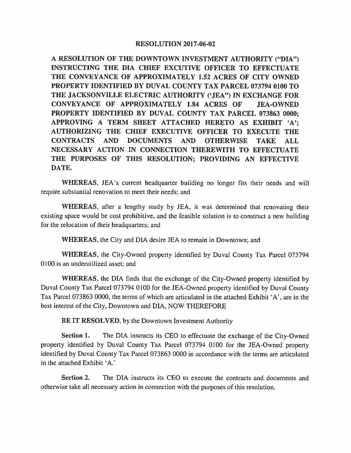## **RESOLUTION 2017-06-02**

**A RESOLUTION OF THE DOWNTOWN INVESTMENT AUTHORITY ("DIA") INSTRUCTING THE DIA CHIEF EXCUTIVE OFFICER TO EFFECTUATE THE CONVEYANCE OF APPROXIMATELY 1.52 ACRES OF CITY OWNED PROPERTY IDENTIFIED BY DUVAL COUNTY TAX PARCEL 073794 0100 TO THE JACKSONVILLE ELECTRIC AUTHORITY ('JEA") IN EXCHANGE FOR CONVEYANCE OF APPROXIMATELY 1.84 ACRES OF JEA-OWNED PROPERTY IDENTIFIED BY DUVAL COUNTY TAX PARCEL 073863 0000; APPROVING A TERM SHEET ATTACHED HERETO AS EXHIBIT 'A'; AUTHORIZING THE CHIEF EXECUTIVE OFFICER TO EXECUTE THE CONTRACTS AND DOCUMENTS AND OTHERWISE TAKE ALL NECESSARY ACTION IN CONNECTION THEREWITH TO EFFECTUATE THE PURPOSES OF THIS RESOLUTION; PROVIDING AN EFFECTIVE DATE.** 

**WHEREAS,** JEA's current headquarter building no longer fits their needs and will require substantial renovation to meet their needs; and

**WHEREAS,** after a lengthy study by JEA, it was determined that renovating their existing space would be cost prohibitive, and the feasible solution is to construct a new building for the relocation of their headquarters; and

**WHEREAS,** the City and DIA desire JEA to remain in Downtown; and

**WHEREAS,** the City-Owned property identified by Duval County Tax Parcel 073794 0100 is an underutilized asset; and

**WHEREAS,** the DIA finds that the exchange of the City-Owned property identified by Duval County Tax Parcel 073794 0100 for the JEA-Owned property identified by Duval County Tax Parcel 073863 0000, the terms of which are articulated in the attached Exhibit 'A', are in the best interest of the City, Downtown and DIA, NOW THEREFORE

**BE IT RESOLVED,** by the Downtown Investment Authority

**Section 1.** The DIA instructs its CEO to effectuate the exchange of the City-Owned property identified by Duval County Tax Parcel 073794 0100 for the JEA-Owned property identified by Duval County Tax Parcel 073863 0000 in accordance with the terms are articulated in the attached Exhibit 'A.'

**Section 2.** The DIA instructs its CEO to execute the contracts and documents and otherwise take all necessary action in connection with the purposes of this resolution.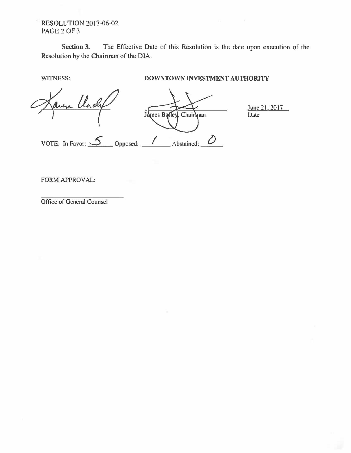## RESOLUTION 2017-06-02 PAGE 2 OF 3

**Section 3.** The Effective Date of this Resolution is the date upon execution of the Resolution by the Chairman of the DIA.

## **WITNESS: DOWNTOWN INVESTMENT AUTHORITY**

Undy June 21. 2017 James Balley, Chairman Date VOTE: In Favor:  $\frac{S}{\sqrt{S}}$  Opposed:  $\frac{1}{\sqrt{S}}$  Abstained:  $\frac{S}{\sqrt{S}}$ 

FORM APPROVAL:

Office of General Counsel